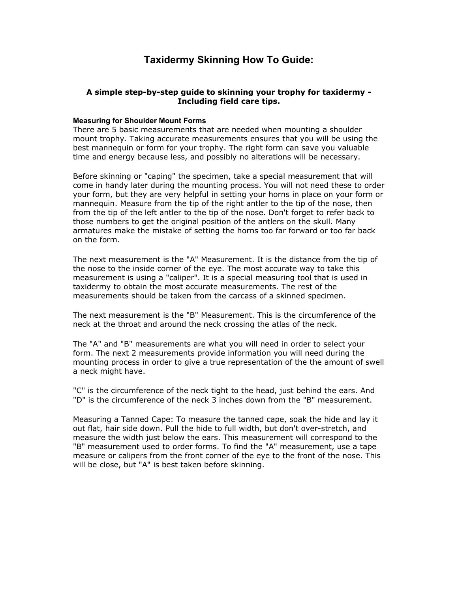# **Taxidermy Skinning How To Guide:**

### **A simple step-by-step guide to skinning your trophy for taxidermy - Including field care tips.**

#### **Measuring for Shoulder Mount Forms**

There are 5 basic measurements that are needed when mounting a shoulder mount trophy. Taking accurate measurements ensures that you will be using the best mannequin or form for your trophy. The right form can save you valuable time and energy because less, and possibly no alterations will be necessary.

Before skinning or "caping" the specimen, take a special measurement that will come in handy later during the mounting process. You will not need these to order your form, but they are very helpful in setting your horns in place on your form or mannequin. Measure from the tip of the right antler to the tip of the nose, then from the tip of the left antler to the tip of the nose. Don't forget to refer back to those numbers to get the original position of the antlers on the skull. Many armatures make the mistake of setting the horns too far forward or too far back on the form.

The next measurement is the "A" Measurement. It is the distance from the tip of the nose to the inside corner of the eye. The most accurate way to take this measurement is using a "caliper". It is a special measuring tool that is used in taxidermy to obtain the most accurate measurements. The rest of the measurements should be taken from the carcass of a skinned specimen.

The next measurement is the "B" Measurement. This is the circumference of the neck at the throat and around the neck crossing the atlas of the neck.

The "A" and "B" measurements are what you will need in order to select your form. The next 2 measurements provide information you will need during the mounting process in order to give a true representation of the the amount of swell a neck might have.

"C" is the circumference of the neck tight to the head, just behind the ears. And "D" is the circumference of the neck 3 inches down from the "B" measurement.

Measuring a Tanned Cape: To measure the tanned cape, soak the hide and lay it out flat, hair side down. Pull the hide to full width, but don't over-stretch, and measure the width just below the ears. This measurement will correspond to the "B" measurement used to order forms. To find the "A" measurement, use a tape measure or calipers from the front corner of the eye to the front of the nose. This will be close, but "A" is best taken before skinning.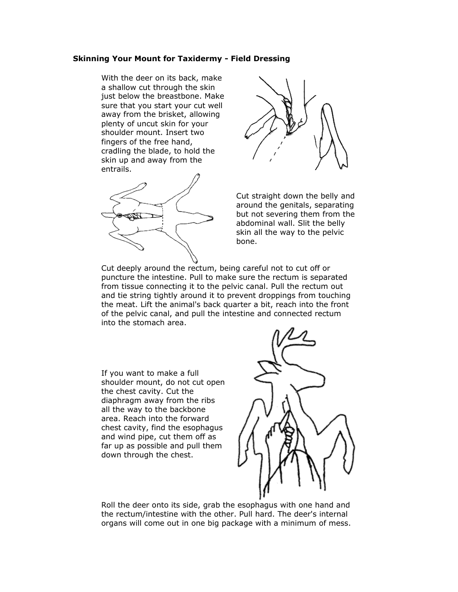### **Skinning Your Mount for Taxidermy - Field Dressing**

With the deer on its back, make a shallow cut through the skin just below the breastbone. Make sure that you start your cut well away from the brisket, allowing plenty of uncut skin for your shoulder mount. Insert two fingers of the free hand, cradling the blade, to hold the skin up and away from the entrails.





Cut straight down the belly and around the genitals, separating but not severing them from the abdominal wall. Slit the belly skin all the way to the pelvic bone.

Cut deeply around the rectum, being careful not to cut off or puncture the intestine. Pull to make sure the rectum is separated from tissue connecting it to the pelvic canal. Pull the rectum out and tie string tightly around it to prevent droppings from touching the meat. Lift the animal's back quarter a bit, reach into the front of the pelvic canal, and pull the intestine and connected rectum into the stomach area.

If you want to make a full shoulder mount, do not cut open the chest cavity. Cut the diaphragm away from the ribs all the way to the backbone area. Reach into the forward chest cavity, find the esophagus and wind pipe, cut them off as far up as possible and pull them down through the chest.



Roll the deer onto its side, grab the esophagus with one hand and the rectum/intestine with the other. Pull hard. The deer's internal organs will come out in one big package with a minimum of mess.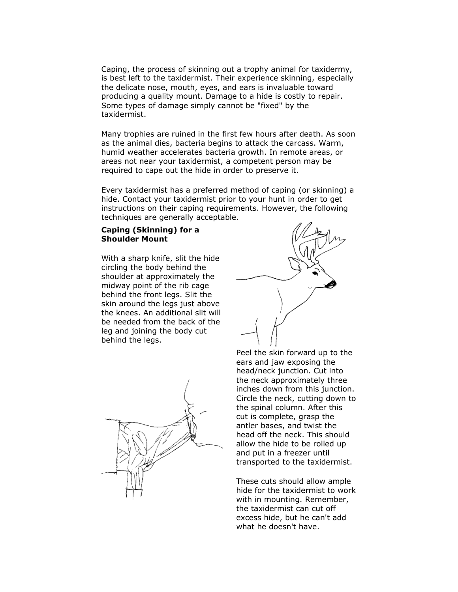Caping, the process of skinning out a trophy animal for taxidermy, is best left to the taxidermist. Their experience skinning, especially the delicate nose, mouth, eyes, and ears is invaluable toward producing a quality mount. Damage to a hide is costly to repair. Some types of damage simply cannot be "fixed" by the taxidermist.

Many trophies are ruined in the first few hours after death. As soon as the animal dies, bacteria begins to attack the carcass. Warm, humid weather accelerates bacteria growth. In remote areas, or areas not near your taxidermist, a competent person may be required to cape out the hide in order to preserve it.

Every taxidermist has a preferred method of caping (or skinning) a hide. Contact your taxidermist prior to your hunt in order to get instructions on their caping requirements. However, the following techniques are generally acceptable.

### **Caping (Skinning) for a Shoulder Mount**

With a sharp knife, slit the hide circling the body behind the shoulder at approximately the midway point of the rib cage behind the front legs. Slit the skin around the legs just above the knees. An additional slit will be needed from the back of the leg and joining the body cut behind the legs.



Peel the skin forward up to the ears and jaw exposing the head/neck junction. Cut into the neck approximately three inches down from this junction. Circle the neck, cutting down to the spinal column. After this cut is complete, grasp the antler bases, and twist the head off the neck. This should allow the hide to be rolled up and put in a freezer until transported to the taxidermist.

These cuts should allow ample hide for the taxidermist to work with in mounting. Remember, the taxidermist can cut off excess hide, but he can't add what he doesn't have.

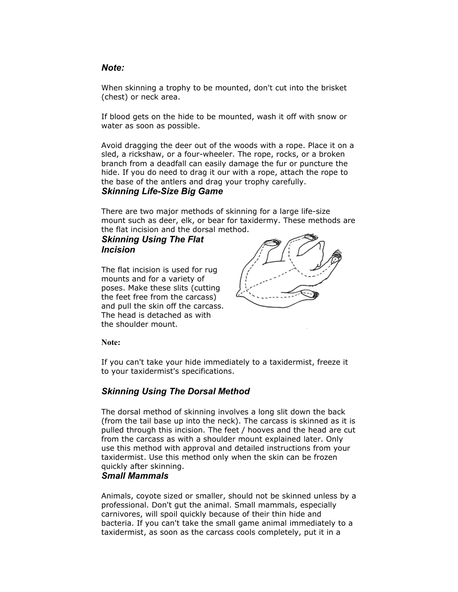## *Note:*

When skinning a trophy to be mounted, don't cut into the brisket (chest) or neck area.

If blood gets on the hide to be mounted, wash it off with snow or water as soon as possible.

Avoid dragging the deer out of the woods with a rope. Place it on a sled, a rickshaw, or a four-wheeler. The rope, rocks, or a broken branch from a deadfall can easily damage the fur or puncture the hide. If you do need to drag it our with a rope, attach the rope to the base of the antlers and drag your trophy carefully.

## *Skinning Life-Size Big Game*

There are two major methods of skinning for a large life-size mount such as deer, elk, or bear for taxidermy. These methods are the flat incision and the dorsal method.

# *Skinning Using The Flat Incision*

The flat incision is used for rug mounts and for a variety of poses. Make these slits (cutting the feet free from the carcass) and pull the skin off the carcass. The head is detached as with the shoulder mount.



**Note:**

If you can't take your hide immediately to a taxidermist, freeze it to your taxidermist's specifications.

# *Skinning Using The Dorsal Method*

The dorsal method of skinning involves a long slit down the back (from the tail base up into the neck). The carcass is skinned as it is pulled through this incision. The feet / hooves and the head are cut from the carcass as with a shoulder mount explained later. Only use this method with approval and detailed instructions from your taxidermist. Use this method only when the skin can be frozen quickly after skinning.

### *Small Mammals*

Animals, coyote sized or smaller, should not be skinned unless by a professional. Don't gut the animal. Small mammals, especially carnivores, will spoil quickly because of their thin hide and bacteria. If you can't take the small game animal immediately to a taxidermist, as soon as the carcass cools completely, put it in a